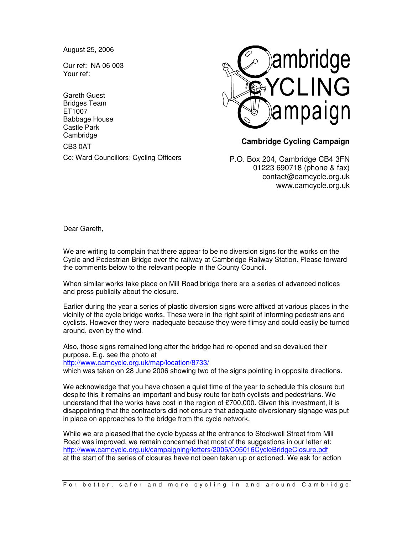August 25, 2006

Our ref: NA 06 003 Your ref:

Gareth Guest Bridges Team ET1007 Babbage House Castle Park **Cambridge** CB3 0AT Cc: Ward Councillors; Cycling Officers



## **Cambridge Cycling Campaign**

P.O. Box 204, Cambridge CB4 3FN 01223 690718 (phone & fax) contact@camcycle.org.uk www.camcycle.org.uk

Dear Gareth,

We are writing to complain that there appear to be no diversion signs for the works on the Cycle and Pedestrian Bridge over the railway at Cambridge Railway Station. Please forward the comments below to the relevant people in the County Council.

When similar works take place on Mill Road bridge there are a series of advanced notices and press publicity about the closure.

Earlier during the year a series of plastic diversion signs were affixed at various places in the vicinity of the cycle bridge works. These were in the right spirit of informing pedestrians and cyclists. However they were inadequate because they were flimsy and could easily be turned around, even by the wind.

Also, those signs remained long after the bridge had re-opened and so devalued their purpose. E.g. see the photo at

http://www.camcycle.org.uk/map/location/8733/

which was taken on 28 June 2006 showing two of the signs pointing in opposite directions.

We acknowledge that you have chosen a quiet time of the year to schedule this closure but despite this it remains an important and busy route for both cyclists and pedestrians. We understand that the works have cost in the region of £700,000. Given this investment, it is disappointing that the contractors did not ensure that adequate diversionary signage was put in place on approaches to the bridge from the cycle network.

While we are pleased that the cycle bypass at the entrance to Stockwell Street from Mill Road was improved, we remain concerned that most of the suggestions in our letter at: http://www.camcycle.org.uk/campaigning/letters/2005/C05016CycleBridgeClosure.pdf at the start of the series of closures have not been taken up or actioned. We ask for action